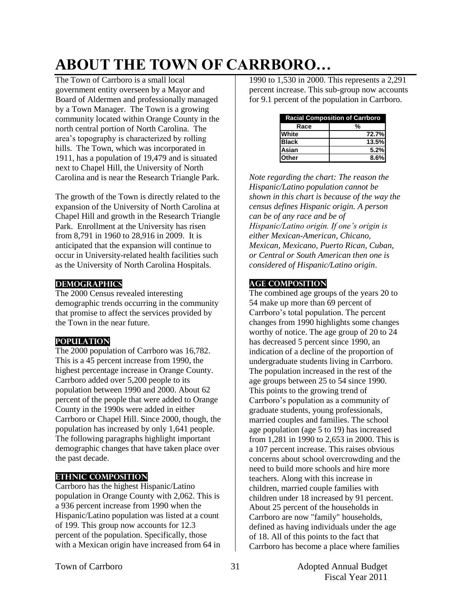# **ABOUT THE TOWN OF CARRBORO…**

The Town of Carrboro is a small local government entity overseen by a Mayor and Board of Aldermen and professionally managed by a Town Manager. The Town is a growing community located within Orange County in the north central portion of North Carolina. The area's topography is characterized by rolling hills. The Town, which was incorporated in 1911, has a population of 19,479 and is situated next to Chapel Hill, the University of North Carolina and is near the Research Triangle Park.

The growth of the Town is directly related to the expansion of the University of North Carolina at Chapel Hill and growth in the Research Triangle Park. Enrollment at the University has risen from 8,791 in 1960 to 28,916 in 2009. It is anticipated that the expansion will continue to occur in University-related health facilities such as the University of North Carolina Hospitals.

### **Demographics**

The 2000 Census revealed interesting demographic trends occurring in the community that promise to affect the services provided by the Town in the near future.

### **Population**

The 2000 population of Carrboro was 16,782. This is a 45 percent increase from 1990, the highest percentage increase in Orange County. Carrboro added over 5,200 people to its population between 1990 and 2000. About 62 percent of the people that were added to Orange County in the 1990s were added in either Carrboro or Chapel Hill. Since 2000, though, the population has increased by only 1,641 people. The following paragraphs highlight important demographic changes that have taken place over the past decade.

### **Ethnic Composition**

Carrboro has the highest Hispanic/Latino population in Orange County with 2,062. This is a 936 percent increase from 1990 when the Hispanic/Latino population was listed at a count of 199. This group now accounts for 12.3 percent of the population. Specifically, those with a Mexican origin have increased from 64 in 1990 to 1,530 in 2000. This represents a 2,291 percent increase. This sub-group now accounts for 9.1 percent of the population in Carrboro.

| <b>Racial Composition of Carrboro</b> |       |  |
|---------------------------------------|-------|--|
| Race                                  |       |  |
| <b>White</b>                          | 72.7% |  |
| <b>Black</b>                          | 13.5% |  |
| Asian                                 | 5.2%  |  |
| <b>lOther</b>                         | 8.6%  |  |

*Note regarding the chart: The reason the Hispanic/Latino population cannot be shown in this chart is because of the way the census defines Hispanic origin. A person can be of any race and be of Hispanic/Latino origin. If one's origin is either Mexican-American, Chicano, Mexican, Mexicano, Puerto Rican, Cuban, or Central or South American then one is considered of Hispanic/Latino origin*.

# **Age Composition**

The combined age groups of the years 20 to 54 make up more than 69 percent of Carrboro's total population. The percent changes from 1990 highlights some changes worthy of notice. The age group of 20 to 24 has decreased 5 percent since 1990, an indication of a decline of the proportion of undergraduate students living in Carrboro. The population increased in the rest of the age groups between 25 to 54 since 1990. This points to the growing trend of Carrboro's population as a community of graduate students, young professionals, married couples and families. The school age population (age 5 to 19) has increased from 1,281 in 1990 to 2,653 in 2000. This is a 107 percent increase. This raises obvious concerns about school overcrowding and the need to build more schools and hire more teachers. Along with this increase in children, married couple families with children under 18 increased by 91 percent. About 25 percent of the households in Carrboro are now "family" households, defined as having individuals under the age of 18. All of this points to the fact that Carrboro has become a place where families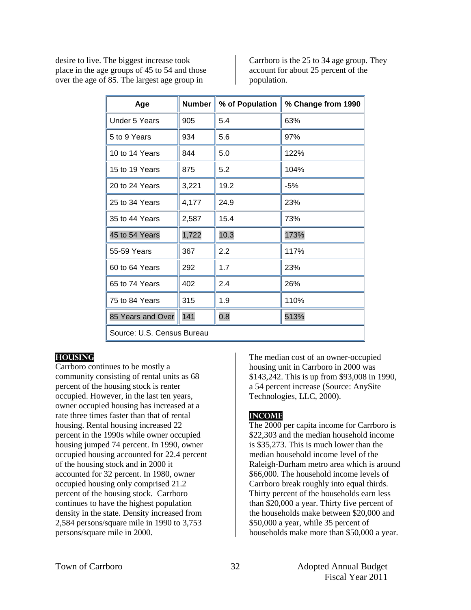desire to live. The biggest increase took place in the age groups of 45 to 54 and those over the age of 85. The largest age group in

Carrboro is the 25 to 34 age group. They account for about 25 percent of the population.

| Age                        | <b>Number</b> | % of Population | % Change from 1990 |
|----------------------------|---------------|-----------------|--------------------|
| Under 5 Years              | 905           | 5.4             | 63%                |
| 5 to 9 Years               | 934           | 5.6             | 97%                |
| 10 to 14 Years             | 844           | 5.0             | 122%               |
| 15 to 19 Years             | 875           | 5.2             | 104%               |
| 20 to 24 Years             | 3,221         | 19.2            | -5%                |
| 25 to 34 Years             | 4,177         | 24.9            | 23%                |
| 35 to 44 Years             | 2,587         | 15.4            | 73%                |
| 45 to 54 Years             | 1,722         | 10.3            | 173%               |
| 55-59 Years                | 367           | 2.2             | 117%               |
| 60 to 64 Years             | 292           | 1.7             | 23%                |
| 65 to 74 Years             | 402           | 2.4             | 26%                |
| 75 to 84 Years             | 315           | 1.9             | 110%               |
| 85 Years and Over          | 141           | 0.8             | 513%               |
| Source: U.S. Census Bureau |               |                 |                    |

#### **Housing**

Carrboro continues to be mostly a community consisting of rental units as 68 percent of the housing stock is renter occupied. However, in the last ten years, owner occupied housing has increased at a rate three times faster than that of rental housing. Rental housing increased 22 percent in the 1990s while owner occupied housing jumped 74 percent. In 1990, owner occupied housing accounted for 22.4 percent of the housing stock and in 2000 it accounted for 32 percent. In 1980, owner occupied housing only comprised 21.2 percent of the housing stock. Carrboro continues to have the highest population density in the state. Density increased from 2,584 persons/square mile in 1990 to 3,753 persons/square mile in 2000.

The median cost of an owner-occupied housing unit in Carrboro in 2000 was \$143,242. This is up from \$93,008 in 1990, a 54 percent increase (Source: AnySite Technologies, LLC, 2000).

### **Income**

The 2000 per capita income for Carrboro is \$22,303 and the median household income is \$35,273. This is much lower than the median household income level of the Raleigh-Durham metro area which is around \$66,000. The household income levels of Carrboro break roughly into equal thirds. Thirty percent of the households earn less than \$20,000 a year. Thirty five percent of the households make between \$20,000 and \$50,000 a year, while 35 percent of households make more than \$50,000 a year.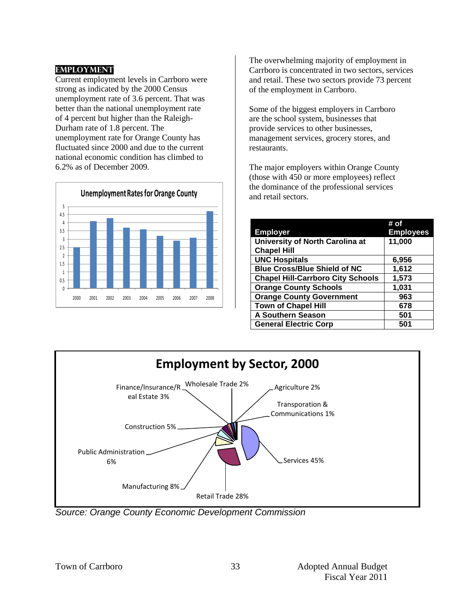### **Employment**

Current employment levels in Carrboro were strong as indicated by the 2000 Census unemployment rate of 3.6 percent. That was better than the national unemployment rate of 4 percent but higher than the Raleigh-Durham rate of 1.8 percent. The unemployment rate for Orange County has fluctuated since 2000 and due to the current national economic condition has climbed to 6.2% as of December 2009.



The overwhelming majority of employment in Carrboro is concentrated in two sectors, services and retail. These two sectors provide 73 percent of the employment in Carrboro.

Some of the biggest employers in Carrboro are the school system, businesses that provide services to other businesses, management services, grocery stores, and restaurants.

The major employers within Orange County (those with 450 or more employees) reflect the dominance of the professional services and retail sectors.

|                                          | # of             |
|------------------------------------------|------------------|
| <b>Employer</b>                          | <b>Employees</b> |
| University of North Carolina at          | 11,000           |
| <b>Chapel Hill</b>                       |                  |
| <b>UNC Hospitals</b>                     | 6,956            |
| <b>Blue Cross/Blue Shield of NC</b>      | 1,612            |
| <b>Chapel Hill-Carrboro City Schools</b> | 1,573            |
| <b>Orange County Schools</b>             | 1,031            |
| <b>Orange County Government</b>          | 963              |
| <b>Town of Chapel Hill</b>               | 678              |
| <b>A Southern Season</b>                 | 501              |
| <b>General Electric Corp</b>             | 501              |



*Source: Orange County Economic Development Commission*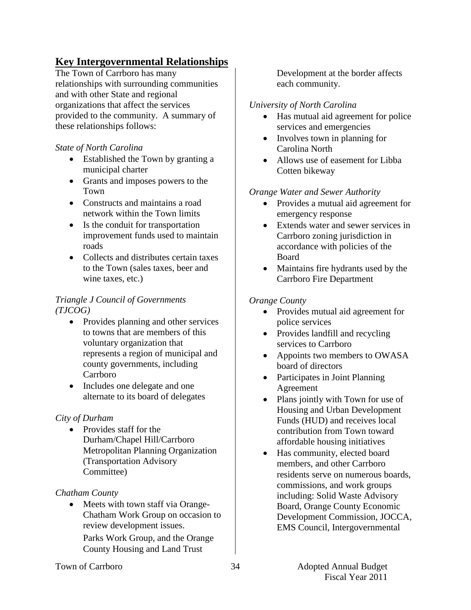# **Key Intergovernmental Relationships**

The Town of Carrboro has many relationships with surrounding communities and with other State and regional organizations that affect the services provided to the community. A summary of these relationships follows:

# *State of North Carolina*

- Established the Town by granting a municipal charter
- Grants and imposes powers to the Town
- Constructs and maintains a road network within the Town limits
- Is the conduit for transportation improvement funds used to maintain roads
- Collects and distributes certain taxes to the Town (sales taxes, beer and wine taxes, etc.)

# *Triangle J Council of Governments (TJCOG)*

- Provides planning and other services to towns that are members of this voluntary organization that represents a region of municipal and county governments, including Carrboro
- Includes one delegate and one alternate to its board of delegates

### *City of Durham*

• Provides staff for the Durham/Chapel Hill/Carrboro Metropolitan Planning Organization (Transportation Advisory Committee)

### *Chatham County*

• Meets with town staff via Orange-Chatham Work Group on occasion to review development issues.

Parks Work Group, and the Orange County Housing and Land Trust

Development at the border affects each community.

# *University of North Carolina*

- Has mutual aid agreement for police services and emergencies
- Involves town in planning for Carolina North
- Allows use of easement for Libba Cotten bikeway

# *Orange Water and Sewer Authority*

- Provides a mutual aid agreement for emergency response
- Extends water and sewer services in Carrboro zoning jurisdiction in accordance with policies of the Board
- Maintains fire hydrants used by the Carrboro Fire Department

# *Orange County*

- Provides mutual aid agreement for police services
- Provides landfill and recycling services to Carrboro
- Appoints two members to OWASA board of directors
- Participates in Joint Planning Agreement
- Plans jointly with Town for use of Housing and Urban Development Funds (HUD) and receives local contribution from Town toward affordable housing initiatives
- Has community, elected board members, and other Carrboro residents serve on numerous boards, commissions, and work groups including: Solid Waste Advisory Board, Orange County Economic Development Commission, JOCCA, EMS Council, Intergovernmental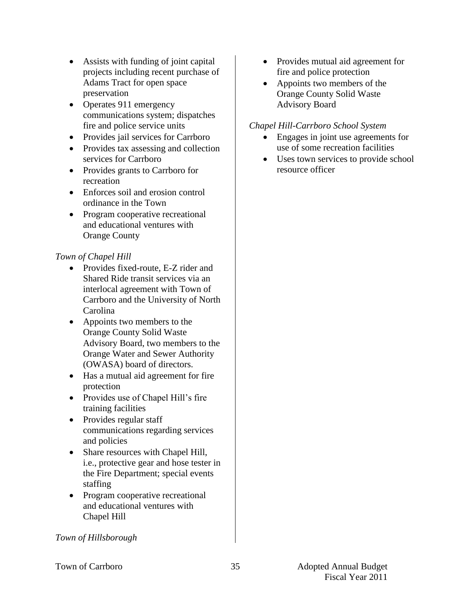- Assists with funding of joint capital projects including recent purchase of Adams Tract for open space preservation
- Operates 911 emergency communications system; dispatches fire and police service units
- Provides jail services for Carrboro
- Provides tax assessing and collection services for Carrboro
- Provides grants to Carrboro for recreation
- Enforces soil and erosion control ordinance in the Town
- Program cooperative recreational and educational ventures with Orange County

# *Town of Chapel Hill*

- Provides fixed-route, E-Z rider and Shared Ride transit services via an interlocal agreement with Town of Carrboro and the University of North Carolina
- Appoints two members to the Orange County Solid Waste Advisory Board, two members to the Orange Water and Sewer Authority (OWASA) board of directors.
- Has a mutual aid agreement for fire protection
- Provides use of Chapel Hill's fire training facilities
- Provides regular staff communications regarding services and policies
- Share resources with Chapel Hill, i.e., protective gear and hose tester in the Fire Department; special events staffing
- Program cooperative recreational and educational ventures with Chapel Hill
- Provides mutual aid agreement for fire and police protection
- Appoints two members of the Orange County Solid Waste Advisory Board

# *Chapel Hill-Carrboro School System*

- Engages in joint use agreements for use of some recreation facilities
- Uses town services to provide school resource officer

*Town of Hillsborough*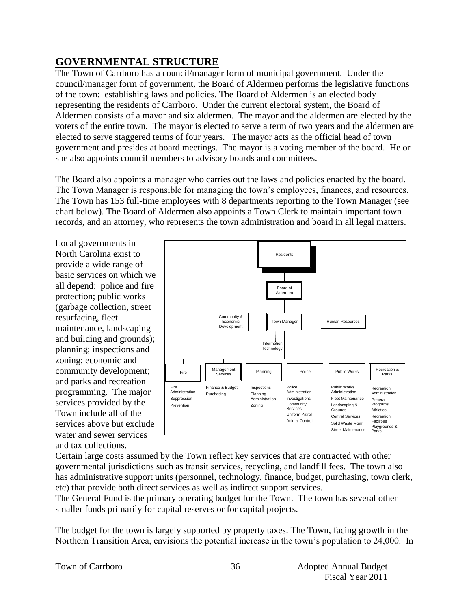# **GOVERNMENTAL STRUCTURE**

The Town of Carrboro has a council/manager form of municipal government. Under the council/manager form of government, the Board of Aldermen performs the legislative functions of the town: establishing laws and policies. The Board of Aldermen is an elected body representing the residents of Carrboro. Under the current electoral system, the Board of Aldermen consists of a mayor and six aldermen. The mayor and the aldermen are elected by the voters of the entire town. The mayor is elected to serve a term of two years and the aldermen are elected to serve staggered terms of four years. The mayor acts as the official head of town government and presides at board meetings. The mayor is a voting member of the board. He or she also appoints council members to advisory boards and committees.

The Board also appoints a manager who carries out the laws and policies enacted by the board. The Town Manager is responsible for managing the town's employees, finances, and resources. The Town has 153 full-time employees with 8 departments reporting to the Town Manager (see chart below). The Board of Aldermen also appoints a Town Clerk to maintain important town records, and an attorney, who represents the town administration and board in all legal matters.

Local governments in North Carolina exist to provide a wide range of basic services on which we all depend: police and fire protection; public works (garbage collection, street resurfacing, fleet maintenance, landscaping and building and grounds); planning; inspections and zoning; economic and community development; and parks and recreation programming. The major services provided by the Town include all of the services above but exclude water and sewer services and tax collections.



Certain large costs assumed by the Town reflect key services that are contracted with other governmental jurisdictions such as transit services, recycling, and landfill fees. The town also has administrative support units (personnel, technology, finance, budget, purchasing, town clerk, etc) that provide both direct services as well as indirect support services.

The General Fund is the primary operating budget for the Town. The town has several other smaller funds primarily for capital reserves or for capital projects.

The budget for the town is largely supported by property taxes. The Town, facing growth in the Northern Transition Area, envisions the potential increase in the town's population to 24,000. In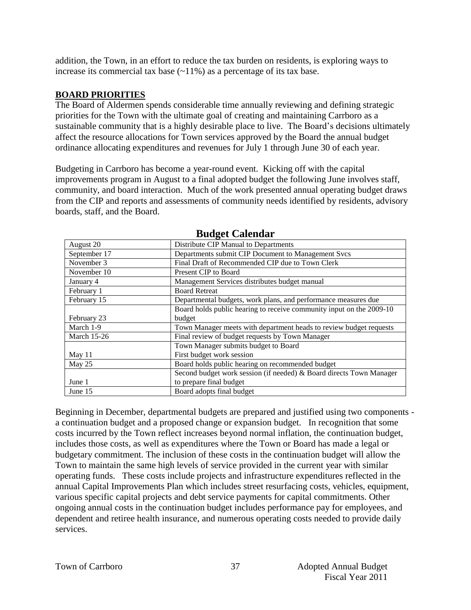addition, the Town, in an effort to reduce the tax burden on residents, is exploring ways to increase its commercial tax base  $(\sim 11\%)$  as a percentage of its tax base.

# **BOARD PRIORITIES**

The Board of Aldermen spends considerable time annually reviewing and defining strategic priorities for the Town with the ultimate goal of creating and maintaining Carrboro as a sustainable community that is a highly desirable place to live. The Board's decisions ultimately affect the resource allocations for Town services approved by the Board the annual budget ordinance allocating expenditures and revenues for July 1 through June 30 of each year.

Budgeting in Carrboro has become a year-round event. Kicking off with the capital improvements program in August to a final adopted budget the following June involves staff, community, and board interaction. Much of the work presented annual operating budget draws from the CIP and reports and assessments of community needs identified by residents, advisory boards, staff, and the Board.

| Dauget Calendai    |                                                                      |  |  |
|--------------------|----------------------------------------------------------------------|--|--|
| August 20          | Distribute CIP Manual to Departments                                 |  |  |
| September 17       | Departments submit CIP Document to Management Svcs                   |  |  |
| November 3         | Final Draft of Recommended CIP due to Town Clerk                     |  |  |
| November 10        | Present CIP to Board                                                 |  |  |
| January 4          | Management Services distributes budget manual                        |  |  |
| February 1         | <b>Board Retreat</b>                                                 |  |  |
| February 15        | Departmental budgets, work plans, and performance measures due       |  |  |
|                    | Board holds public hearing to receive community input on the 2009-10 |  |  |
| February 23        | budget                                                               |  |  |
| March 1-9          | Town Manager meets with department heads to review budget requests   |  |  |
| <b>March 15-26</b> | Final review of budget requests by Town Manager                      |  |  |
|                    | Town Manager submits budget to Board                                 |  |  |
| May $11$           | First budget work session                                            |  |  |
| May 25             | Board holds public hearing on recommended budget                     |  |  |
|                    | Second budget work session (if needed) & Board directs Town Manager  |  |  |
| June 1             | to prepare final budget                                              |  |  |
| June 15            | Board adopts final budget                                            |  |  |

### **Budget Calendar**

Beginning in December, departmental budgets are prepared and justified using two components a continuation budget and a proposed change or expansion budget. In recognition that some costs incurred by the Town reflect increases beyond normal inflation, the continuation budget, includes those costs, as well as expenditures where the Town or Board has made a legal or budgetary commitment. The inclusion of these costs in the continuation budget will allow the Town to maintain the same high levels of service provided in the current year with similar operating funds. These costs include projects and infrastructure expenditures reflected in the annual Capital Improvements Plan which includes street resurfacing costs, vehicles, equipment, various specific capital projects and debt service payments for capital commitments. Other ongoing annual costs in the continuation budget includes performance pay for employees, and dependent and retiree health insurance, and numerous operating costs needed to provide daily services.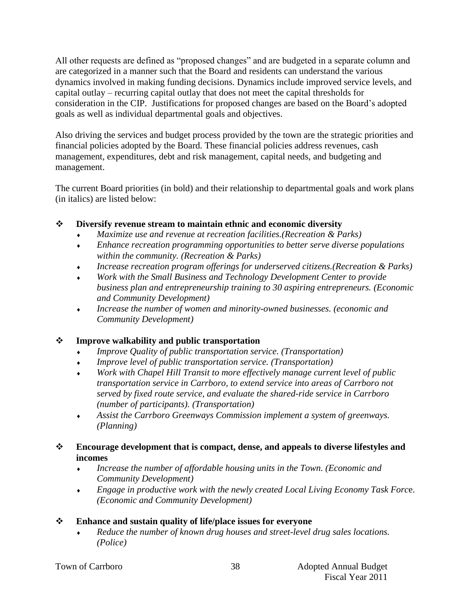All other requests are defined as "proposed changes" and are budgeted in a separate column and are categorized in a manner such that the Board and residents can understand the various dynamics involved in making funding decisions. Dynamics include improved service levels, and capital outlay – recurring capital outlay that does not meet the capital thresholds for consideration in the CIP. Justifications for proposed changes are based on the Board's adopted goals as well as individual departmental goals and objectives.

Also driving the services and budget process provided by the town are the strategic priorities and financial policies adopted by the Board. These financial policies address revenues, cash management, expenditures, debt and risk management, capital needs, and budgeting and management.

The current Board priorities (in bold) and their relationship to departmental goals and work plans (in italics) are listed below:

# **Diversify revenue stream to maintain ethnic and economic diversity**

- *Maximize use and revenue at recreation facilities.(Recreation & Parks)*
- *Enhance recreation programming opportunities to better serve diverse populations within the community. (Recreation & Parks)*
- *Increase recreation program offerings for underserved citizens.(Recreation & Parks)*
- *Work with the Small Business and Technology Development Center to provide business plan and entrepreneurship training to 30 aspiring entrepreneurs. (Economic and Community Development)*
- *Increase the number of women and minority-owned businesses. (economic and Community Development)*

# **Improve walkability and public transportation**

- *Improve Quality of public transportation service. (Transportation)*
- *Improve level of public transportation service. (Transportation)*
- *Work with Chapel Hill Transit to more effectively manage current level of public transportation service in Carrboro, to extend service into areas of Carrboro not served by fixed route service, and evaluate the shared-ride service in Carrboro (number of participants). (Transportation)*
- *Assist the Carrboro Greenways Commission implement a system of greenways. (Planning)*

# **Encourage development that is compact, dense, and appeals to diverse lifestyles and incomes**

- *Increase the number of affordable housing units in the Town. (Economic and Community Development)*
- *Engage in productive work with the newly created Local Living Economy Task Forc*e. *(Economic and Community Development)*

# **Enhance and sustain quality of life/place issues for everyone**

 *Reduce the number of known drug houses and street-level drug sales locations. (Police)*

|  |  | Town of Carrboro |
|--|--|------------------|
|--|--|------------------|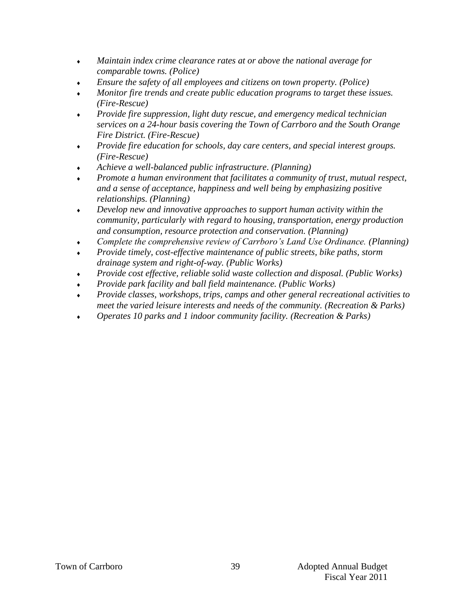- *Maintain index crime clearance rates at or above the national average for comparable towns. (Police)*
- *Ensure the safety of all employees and citizens on town property. (Police)*
- *Monitor fire trends and create public education programs to target these issues. (Fire-Rescue)*
- *Provide fire suppression, light duty rescue, and emergency medical technician services on a 24-hour basis covering the Town of Carrboro and the South Orange Fire District. (Fire-Rescue)*
- *Provide fire education for schools, day care centers, and special interest groups. (Fire-Rescue)*
- *Achieve a well-balanced public infrastructure*. *(Planning)*
- *Promote a human environment that facilitates a community of trust, mutual respect, and a sense of acceptance, happiness and well being by emphasizing positive relationships. (Planning)*
- *Develop new and innovative approaches to support human activity within the community, particularly with regard to housing, transportation, energy production and consumption, resource protection and conservation. (Planning)*
- *Complete the comprehensive review of Carrboro's Land Use Ordinance. (Planning)*
- *Provide timely, cost-effective maintenance of public streets, bike paths, storm drainage system and right-of-way. (Public Works)*
- *Provide cost effective, reliable solid waste collection and disposal. (Public Works)*
- *Provide park facility and ball field maintenance. (Public Works)*
- *Provide classes, workshops, trips, camps and other general recreational activities to meet the varied leisure interests and needs of the community. (Recreation & Parks)*
- *Operates 10 parks and 1 indoor community facility. (Recreation & Parks)*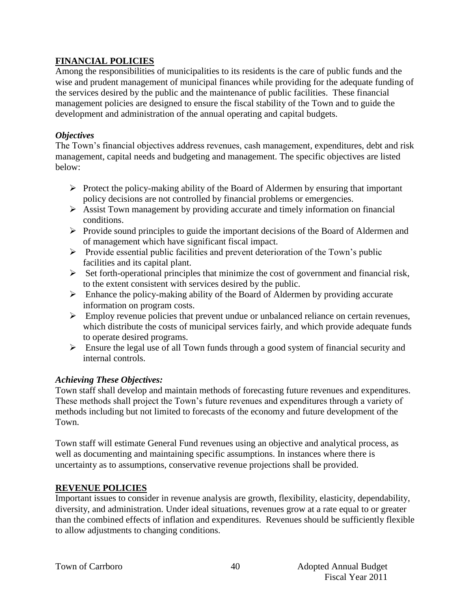# **FINANCIAL POLICIES**

Among the responsibilities of municipalities to its residents is the care of public funds and the wise and prudent management of municipal finances while providing for the adequate funding of the services desired by the public and the maintenance of public facilities. These financial management policies are designed to ensure the fiscal stability of the Town and to guide the development and administration of the annual operating and capital budgets.

### *Objectives*

The Town's financial objectives address revenues, cash management, expenditures, debt and risk management, capital needs and budgeting and management. The specific objectives are listed below:

- $\triangleright$  Protect the policy-making ability of the Board of Aldermen by ensuring that important policy decisions are not controlled by financial problems or emergencies.
- $\triangleright$  Assist Town management by providing accurate and timely information on financial conditions.
- $\triangleright$  Provide sound principles to guide the important decisions of the Board of Aldermen and of management which have significant fiscal impact.
- $\triangleright$  Provide essential public facilities and prevent deterioration of the Town's public facilities and its capital plant.
- $\triangleright$  Set forth-operational principles that minimize the cost of government and financial risk, to the extent consistent with services desired by the public.
- $\triangleright$  Enhance the policy-making ability of the Board of Aldermen by providing accurate information on program costs.
- $\triangleright$  Employ revenue policies that prevent undue or unbalanced reliance on certain revenues, which distribute the costs of municipal services fairly, and which provide adequate funds to operate desired programs.
- Ensure the legal use of all Town funds through a good system of financial security and internal controls.

# *Achieving These Objectives:*

Town staff shall develop and maintain methods of forecasting future revenues and expenditures. These methods shall project the Town's future revenues and expenditures through a variety of methods including but not limited to forecasts of the economy and future development of the Town.

Town staff will estimate General Fund revenues using an objective and analytical process, as well as documenting and maintaining specific assumptions. In instances where there is uncertainty as to assumptions, conservative revenue projections shall be provided.

### **REVENUE POLICIES**

Important issues to consider in revenue analysis are growth, flexibility, elasticity, dependability, diversity, and administration. Under ideal situations, revenues grow at a rate equal to or greater than the combined effects of inflation and expenditures. Revenues should be sufficiently flexible to allow adjustments to changing conditions.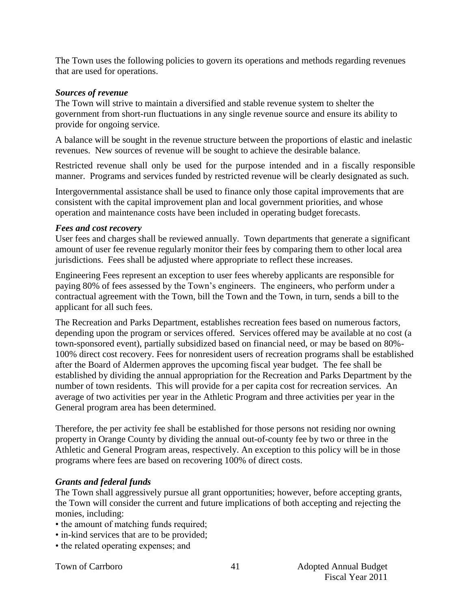The Town uses the following policies to govern its operations and methods regarding revenues that are used for operations.

#### *Sources of revenue*

The Town will strive to maintain a diversified and stable revenue system to shelter the government from short-run fluctuations in any single revenue source and ensure its ability to provide for ongoing service.

A balance will be sought in the revenue structure between the proportions of elastic and inelastic revenues. New sources of revenue will be sought to achieve the desirable balance.

Restricted revenue shall only be used for the purpose intended and in a fiscally responsible manner. Programs and services funded by restricted revenue will be clearly designated as such.

Intergovernmental assistance shall be used to finance only those capital improvements that are consistent with the capital improvement plan and local government priorities, and whose operation and maintenance costs have been included in operating budget forecasts.

#### *Fees and cost recovery*

User fees and charges shall be reviewed annually. Town departments that generate a significant amount of user fee revenue regularly monitor their fees by comparing them to other local area jurisdictions. Fees shall be adjusted where appropriate to reflect these increases.

Engineering Fees represent an exception to user fees whereby applicants are responsible for paying 80% of fees assessed by the Town's engineers. The engineers, who perform under a contractual agreement with the Town, bill the Town and the Town, in turn, sends a bill to the applicant for all such fees.

The Recreation and Parks Department, establishes recreation fees based on numerous factors, depending upon the program or services offered. Services offered may be available at no cost (a town-sponsored event), partially subsidized based on financial need, or may be based on 80%- 100% direct cost recovery. Fees for nonresident users of recreation programs shall be established after the Board of Aldermen approves the upcoming fiscal year budget. The fee shall be established by dividing the annual appropriation for the Recreation and Parks Department by the number of town residents. This will provide for a per capita cost for recreation services. An average of two activities per year in the Athletic Program and three activities per year in the General program area has been determined.

Therefore, the per activity fee shall be established for those persons not residing nor owning property in Orange County by dividing the annual out-of-county fee by two or three in the Athletic and General Program areas, respectively. An exception to this policy will be in those programs where fees are based on recovering 100% of direct costs.

### *Grants and federal funds*

The Town shall aggressively pursue all grant opportunities; however, before accepting grants, the Town will consider the current and future implications of both accepting and rejecting the monies, including:

- the amount of matching funds required;
- in-kind services that are to be provided;
- the related operating expenses; and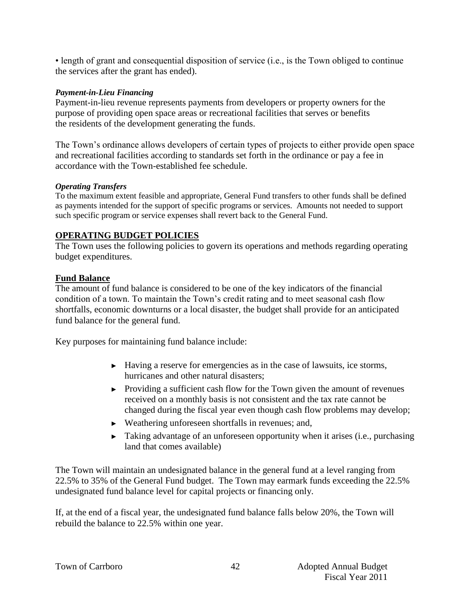• length of grant and consequential disposition of service (i.e., is the Town obliged to continue the services after the grant has ended).

#### *Payment-in-Lieu Financing*

Payment-in-lieu revenue represents payments from developers or property owners for the purpose of providing open space areas or recreational facilities that serves or benefits the residents of the development generating the funds.

The Town's ordinance allows developers of certain types of projects to either provide open space and recreational facilities according to standards set forth in the ordinance or pay a fee in accordance with the Town-established fee schedule.

#### *Operating Transfers*

To the maximum extent feasible and appropriate, General Fund transfers to other funds shall be defined as payments intended for the support of specific programs or services. Amounts not needed to support such specific program or service expenses shall revert back to the General Fund.

# **OPERATING BUDGET POLICIES**

The Town uses the following policies to govern its operations and methods regarding operating budget expenditures.

### **Fund Balance**

The amount of fund balance is considered to be one of the key indicators of the financial condition of a town. To maintain the Town's credit rating and to meet seasonal cash flow shortfalls, economic downturns or a local disaster, the budget shall provide for an anticipated fund balance for the general fund.

Key purposes for maintaining fund balance include:

- **►** Having a reserve for emergencies as in the case of lawsuits, ice storms, hurricanes and other natural disasters;
- **►** Providing a sufficient cash flow for the Town given the amount of revenues received on a monthly basis is not consistent and the tax rate cannot be changed during the fiscal year even though cash flow problems may develop;
- **►** Weathering unforeseen shortfalls in revenues; and,
- **►** Taking advantage of an unforeseen opportunity when it arises (i.e., purchasing land that comes available)

The Town will maintain an undesignated balance in the general fund at a level ranging from 22.5% to 35% of the General Fund budget. The Town may earmark funds exceeding the 22.5% undesignated fund balance level for capital projects or financing only.

If, at the end of a fiscal year, the undesignated fund balance falls below 20%, the Town will rebuild the balance to 22.5% within one year.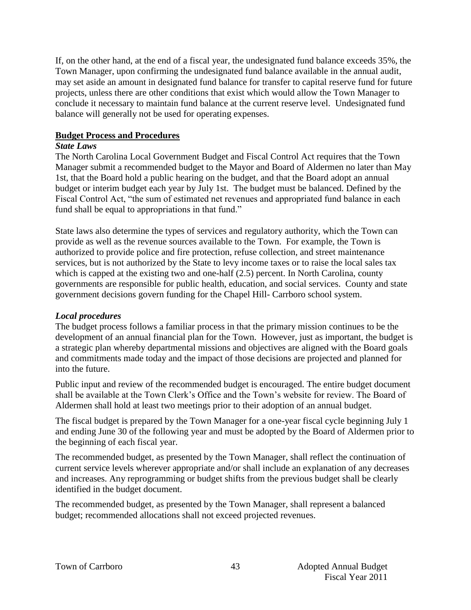If, on the other hand, at the end of a fiscal year, the undesignated fund balance exceeds 35%, the Town Manager, upon confirming the undesignated fund balance available in the annual audit, may set aside an amount in designated fund balance for transfer to capital reserve fund for future projects, unless there are other conditions that exist which would allow the Town Manager to conclude it necessary to maintain fund balance at the current reserve level. Undesignated fund balance will generally not be used for operating expenses.

#### **Budget Process and Procedures**

#### *State Laws*

The North Carolina Local Government Budget and Fiscal Control Act requires that the Town Manager submit a recommended budget to the Mayor and Board of Aldermen no later than May 1st, that the Board hold a public hearing on the budget, and that the Board adopt an annual budget or interim budget each year by July 1st. The budget must be balanced. Defined by the Fiscal Control Act, "the sum of estimated net revenues and appropriated fund balance in each fund shall be equal to appropriations in that fund."

State laws also determine the types of services and regulatory authority, which the Town can provide as well as the revenue sources available to the Town. For example, the Town is authorized to provide police and fire protection, refuse collection, and street maintenance services, but is not authorized by the State to levy income taxes or to raise the local sales tax which is capped at the existing two and one-half  $(2.5)$  percent. In North Carolina, county governments are responsible for public health, education, and social services. County and state government decisions govern funding for the Chapel Hill- Carrboro school system.

### *Local procedures*

The budget process follows a familiar process in that the primary mission continues to be the development of an annual financial plan for the Town. However, just as important, the budget is a strategic plan whereby departmental missions and objectives are aligned with the Board goals and commitments made today and the impact of those decisions are projected and planned for into the future.

Public input and review of the recommended budget is encouraged. The entire budget document shall be available at the Town Clerk's Office and the Town's website for review. The Board of Aldermen shall hold at least two meetings prior to their adoption of an annual budget.

The fiscal budget is prepared by the Town Manager for a one-year fiscal cycle beginning July 1 and ending June 30 of the following year and must be adopted by the Board of Aldermen prior to the beginning of each fiscal year.

The recommended budget, as presented by the Town Manager, shall reflect the continuation of current service levels wherever appropriate and/or shall include an explanation of any decreases and increases. Any reprogramming or budget shifts from the previous budget shall be clearly identified in the budget document.

The recommended budget, as presented by the Town Manager, shall represent a balanced budget; recommended allocations shall not exceed projected revenues.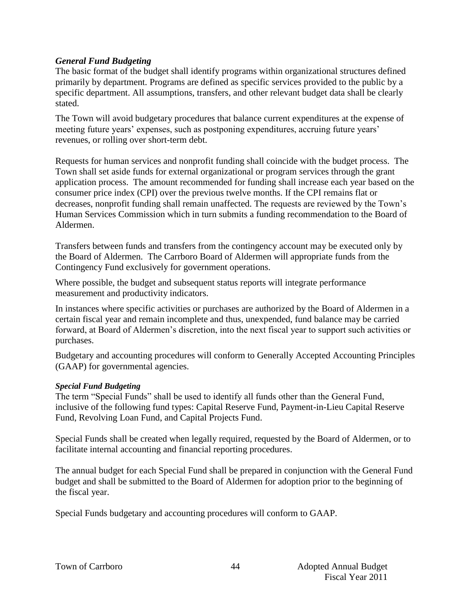#### *General Fund Budgeting*

The basic format of the budget shall identify programs within organizational structures defined primarily by department. Programs are defined as specific services provided to the public by a specific department. All assumptions, transfers, and other relevant budget data shall be clearly stated.

The Town will avoid budgetary procedures that balance current expenditures at the expense of meeting future years' expenses, such as postponing expenditures, accruing future years' revenues, or rolling over short-term debt.

Requests for human services and nonprofit funding shall coincide with the budget process. The Town shall set aside funds for external organizational or program services through the grant application process. The amount recommended for funding shall increase each year based on the consumer price index (CPI) over the previous twelve months. If the CPI remains flat or decreases, nonprofit funding shall remain unaffected. The requests are reviewed by the Town's Human Services Commission which in turn submits a funding recommendation to the Board of Aldermen.

Transfers between funds and transfers from the contingency account may be executed only by the Board of Aldermen. The Carrboro Board of Aldermen will appropriate funds from the Contingency Fund exclusively for government operations.

Where possible, the budget and subsequent status reports will integrate performance measurement and productivity indicators.

In instances where specific activities or purchases are authorized by the Board of Aldermen in a certain fiscal year and remain incomplete and thus, unexpended, fund balance may be carried forward, at Board of Aldermen's discretion, into the next fiscal year to support such activities or purchases.

Budgetary and accounting procedures will conform to Generally Accepted Accounting Principles (GAAP) for governmental agencies.

#### *Special Fund Budgeting*

The term "Special Funds" shall be used to identify all funds other than the General Fund, inclusive of the following fund types: Capital Reserve Fund, Payment-in-Lieu Capital Reserve Fund, Revolving Loan Fund, and Capital Projects Fund.

Special Funds shall be created when legally required, requested by the Board of Aldermen, or to facilitate internal accounting and financial reporting procedures.

The annual budget for each Special Fund shall be prepared in conjunction with the General Fund budget and shall be submitted to the Board of Aldermen for adoption prior to the beginning of the fiscal year.

Special Funds budgetary and accounting procedures will conform to GAAP.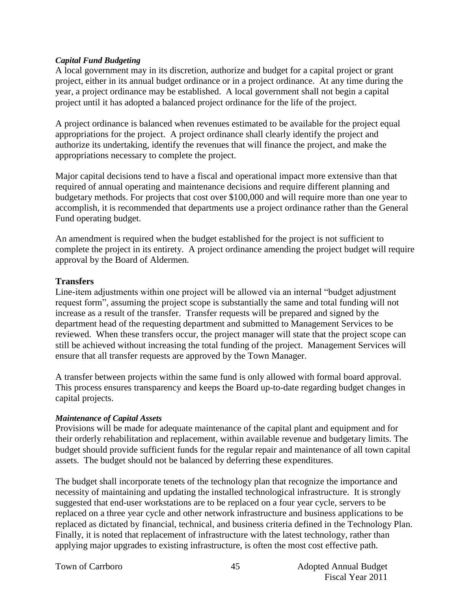#### *Capital Fund Budgeting*

A local government may in its discretion, authorize and budget for a capital project or grant project, either in its annual budget ordinance or in a project ordinance. At any time during the year, a project ordinance may be established. A local government shall not begin a capital project until it has adopted a balanced project ordinance for the life of the project.

A project ordinance is balanced when revenues estimated to be available for the project equal appropriations for the project. A project ordinance shall clearly identify the project and authorize its undertaking, identify the revenues that will finance the project, and make the appropriations necessary to complete the project.

Major capital decisions tend to have a fiscal and operational impact more extensive than that required of annual operating and maintenance decisions and require different planning and budgetary methods. For projects that cost over \$100,000 and will require more than one year to accomplish, it is recommended that departments use a project ordinance rather than the General Fund operating budget.

An amendment is required when the budget established for the project is not sufficient to complete the project in its entirety. A project ordinance amending the project budget will require approval by the Board of Aldermen.

#### **Transfers**

Line-item adjustments within one project will be allowed via an internal "budget adjustment request form", assuming the project scope is substantially the same and total funding will not increase as a result of the transfer. Transfer requests will be prepared and signed by the department head of the requesting department and submitted to Management Services to be reviewed. When these transfers occur, the project manager will state that the project scope can still be achieved without increasing the total funding of the project. Management Services will ensure that all transfer requests are approved by the Town Manager.

A transfer between projects within the same fund is only allowed with formal board approval. This process ensures transparency and keeps the Board up-to-date regarding budget changes in capital projects.

#### *Maintenance of Capital Assets*

Provisions will be made for adequate maintenance of the capital plant and equipment and for their orderly rehabilitation and replacement, within available revenue and budgetary limits. The budget should provide sufficient funds for the regular repair and maintenance of all town capital assets. The budget should not be balanced by deferring these expenditures.

The budget shall incorporate tenets of the technology plan that recognize the importance and necessity of maintaining and updating the installed technological infrastructure. It is strongly suggested that end-user workstations are to be replaced on a four year cycle, servers to be replaced on a three year cycle and other network infrastructure and business applications to be replaced as dictated by financial, technical, and business criteria defined in the Technology Plan. Finally, it is noted that replacement of infrastructure with the latest technology, rather than applying major upgrades to existing infrastructure, is often the most cost effective path.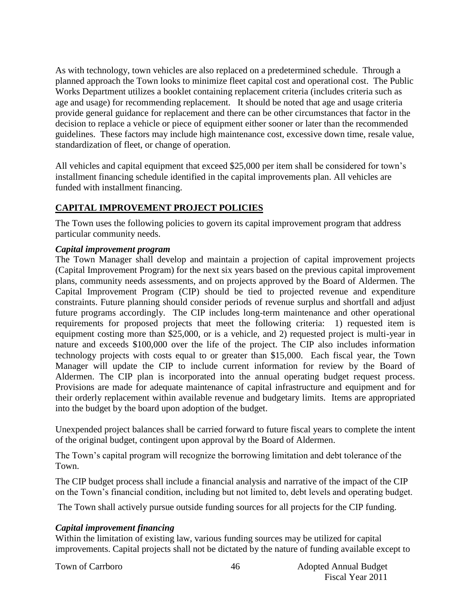As with technology, town vehicles are also replaced on a predetermined schedule. Through a planned approach the Town looks to minimize fleet capital cost and operational cost. The Public Works Department utilizes a booklet containing replacement criteria (includes criteria such as age and usage) for recommending replacement. It should be noted that age and usage criteria provide general guidance for replacement and there can be other circumstances that factor in the decision to replace a vehicle or piece of equipment either sooner or later than the recommended guidelines. These factors may include high maintenance cost, excessive down time, resale value, standardization of fleet, or change of operation.

All vehicles and capital equipment that exceed \$25,000 per item shall be considered for town's installment financing schedule identified in the capital improvements plan. All vehicles are funded with installment financing.

# **CAPITAL IMPROVEMENT PROJECT POLICIES**

The Town uses the following policies to govern its capital improvement program that address particular community needs.

#### *Capital improvement program*

The Town Manager shall develop and maintain a projection of capital improvement projects (Capital Improvement Program) for the next six years based on the previous capital improvement plans, community needs assessments, and on projects approved by the Board of Aldermen. The Capital Improvement Program (CIP) should be tied to projected revenue and expenditure constraints. Future planning should consider periods of revenue surplus and shortfall and adjust future programs accordingly. The CIP includes long-term maintenance and other operational requirements for proposed projects that meet the following criteria: 1) requested item is equipment costing more than \$25,000, or is a vehicle, and 2) requested project is multi-year in nature and exceeds \$100,000 over the life of the project. The CIP also includes information technology projects with costs equal to or greater than \$15,000. Each fiscal year, the Town Manager will update the CIP to include current information for review by the Board of Aldermen. The CIP plan is incorporated into the annual operating budget request process. Provisions are made for adequate maintenance of capital infrastructure and equipment and for their orderly replacement within available revenue and budgetary limits. Items are appropriated into the budget by the board upon adoption of the budget.

Unexpended project balances shall be carried forward to future fiscal years to complete the intent of the original budget, contingent upon approval by the Board of Aldermen.

The Town's capital program will recognize the borrowing limitation and debt tolerance of the Town.

The CIP budget process shall include a financial analysis and narrative of the impact of the CIP on the Town's financial condition, including but not limited to, debt levels and operating budget.

The Town shall actively pursue outside funding sources for all projects for the CIP funding.

### *Capital improvement financing*

Within the limitation of existing law, various funding sources may be utilized for capital improvements. Capital projects shall not be dictated by the nature of funding available except to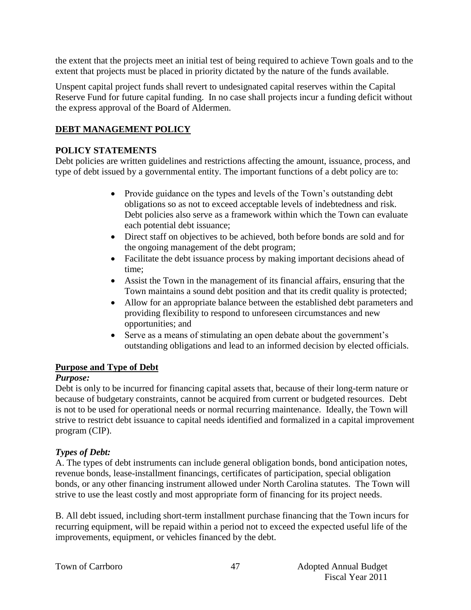the extent that the projects meet an initial test of being required to achieve Town goals and to the extent that projects must be placed in priority dictated by the nature of the funds available.

Unspent capital project funds shall revert to undesignated capital reserves within the Capital Reserve Fund for future capital funding. In no case shall projects incur a funding deficit without the express approval of the Board of Aldermen.

# **DEBT MANAGEMENT POLICY**

# **POLICY STATEMENTS**

Debt policies are written guidelines and restrictions affecting the amount, issuance, process, and type of debt issued by a governmental entity. The important functions of a debt policy are to:

- Provide guidance on the types and levels of the Town's outstanding debt obligations so as not to exceed acceptable levels of indebtedness and risk. Debt policies also serve as a framework within which the Town can evaluate each potential debt issuance;
- Direct staff on objectives to be achieved, both before bonds are sold and for the ongoing management of the debt program;
- Facilitate the debt issuance process by making important decisions ahead of time;
- Assist the Town in the management of its financial affairs, ensuring that the Town maintains a sound debt position and that its credit quality is protected;
- Allow for an appropriate balance between the established debt parameters and providing flexibility to respond to unforeseen circumstances and new opportunities; and
- Serve as a means of stimulating an open debate about the government's outstanding obligations and lead to an informed decision by elected officials.

### **Purpose and Type of Debt**

### *Purpose:*

Debt is only to be incurred for financing capital assets that, because of their long-term nature or because of budgetary constraints, cannot be acquired from current or budgeted resources. Debt is not to be used for operational needs or normal recurring maintenance. Ideally, the Town will strive to restrict debt issuance to capital needs identified and formalized in a capital improvement program (CIP).

# *Types of Debt:*

A. The types of debt instruments can include general obligation bonds, bond anticipation notes, revenue bonds, lease-installment financings, certificates of participation, special obligation bonds, or any other financing instrument allowed under North Carolina statutes. The Town will strive to use the least costly and most appropriate form of financing for its project needs.

B. All debt issued, including short-term installment purchase financing that the Town incurs for recurring equipment, will be repaid within a period not to exceed the expected useful life of the improvements, equipment, or vehicles financed by the debt.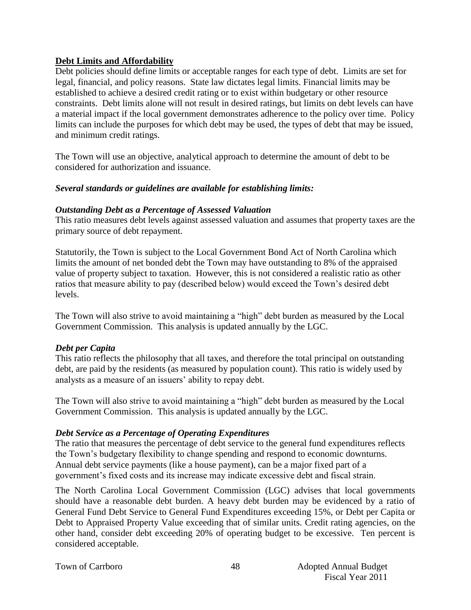#### **Debt Limits and Affordability**

Debt policies should define limits or acceptable ranges for each type of debt. Limits are set for legal, financial, and policy reasons. State law dictates legal limits. Financial limits may be established to achieve a desired credit rating or to exist within budgetary or other resource constraints. Debt limits alone will not result in desired ratings, but limits on debt levels can have a material impact if the local government demonstrates adherence to the policy over time. Policy limits can include the purposes for which debt may be used, the types of debt that may be issued, and minimum credit ratings.

The Town will use an objective, analytical approach to determine the amount of debt to be considered for authorization and issuance.

#### *Several standards or guidelines are available for establishing limits:*

#### *Outstanding Debt as a Percentage of Assessed Valuation*

This ratio measures debt levels against assessed valuation and assumes that property taxes are the primary source of debt repayment.

Statutorily, the Town is subject to the Local Government Bond Act of North Carolina which limits the amount of net bonded debt the Town may have outstanding to 8% of the appraised value of property subject to taxation. However, this is not considered a realistic ratio as other ratios that measure ability to pay (described below) would exceed the Town's desired debt levels.

The Town will also strive to avoid maintaining a "high" debt burden as measured by the Local Government Commission. This analysis is updated annually by the LGC.

#### *Debt per Capita*

This ratio reflects the philosophy that all taxes, and therefore the total principal on outstanding debt, are paid by the residents (as measured by population count). This ratio is widely used by analysts as a measure of an issuers' ability to repay debt.

The Town will also strive to avoid maintaining a "high" debt burden as measured by the Local Government Commission. This analysis is updated annually by the LGC.

#### *Debt Service as a Percentage of Operating Expenditures*

The ratio that measures the percentage of debt service to the general fund expenditures reflects the Town's budgetary flexibility to change spending and respond to economic downturns. Annual debt service payments (like a house payment), can be a major fixed part of a government's fixed costs and its increase may indicate excessive debt and fiscal strain.

The North Carolina Local Government Commission (LGC) advises that local governments should have a reasonable debt burden. A heavy debt burden may be evidenced by a ratio of General Fund Debt Service to General Fund Expenditures exceeding 15%, or Debt per Capita or Debt to Appraised Property Value exceeding that of similar units. Credit rating agencies, on the other hand, consider debt exceeding 20% of operating budget to be excessive. Ten percent is considered acceptable.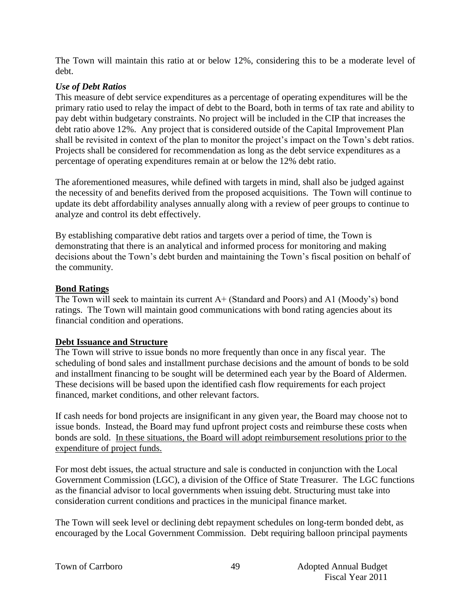The Town will maintain this ratio at or below 12%, considering this to be a moderate level of debt.

# *Use of Debt Ratios*

This measure of debt service expenditures as a percentage of operating expenditures will be the primary ratio used to relay the impact of debt to the Board, both in terms of tax rate and ability to pay debt within budgetary constraints. No project will be included in the CIP that increases the debt ratio above 12%. Any project that is considered outside of the Capital Improvement Plan shall be revisited in context of the plan to monitor the project's impact on the Town's debt ratios. Projects shall be considered for recommendation as long as the debt service expenditures as a percentage of operating expenditures remain at or below the 12% debt ratio.

The aforementioned measures, while defined with targets in mind, shall also be judged against the necessity of and benefits derived from the proposed acquisitions. The Town will continue to update its debt affordability analyses annually along with a review of peer groups to continue to analyze and control its debt effectively.

By establishing comparative debt ratios and targets over a period of time, the Town is demonstrating that there is an analytical and informed process for monitoring and making decisions about the Town's debt burden and maintaining the Town's fiscal position on behalf of the community.

# **Bond Ratings**

The Town will seek to maintain its current A+ (Standard and Poors) and A1 (Moody's) bond ratings. The Town will maintain good communications with bond rating agencies about its financial condition and operations.

### **Debt Issuance and Structure**

The Town will strive to issue bonds no more frequently than once in any fiscal year. The scheduling of bond sales and installment purchase decisions and the amount of bonds to be sold and installment financing to be sought will be determined each year by the Board of Aldermen. These decisions will be based upon the identified cash flow requirements for each project financed, market conditions, and other relevant factors.

If cash needs for bond projects are insignificant in any given year, the Board may choose not to issue bonds. Instead, the Board may fund upfront project costs and reimburse these costs when bonds are sold. In these situations, the Board will adopt reimbursement resolutions prior to the expenditure of project funds.

For most debt issues, the actual structure and sale is conducted in conjunction with the Local Government Commission (LGC), a division of the Office of State Treasurer. The LGC functions as the financial advisor to local governments when issuing debt. Structuring must take into consideration current conditions and practices in the municipal finance market.

The Town will seek level or declining debt repayment schedules on long-term bonded debt, as encouraged by the Local Government Commission. Debt requiring balloon principal payments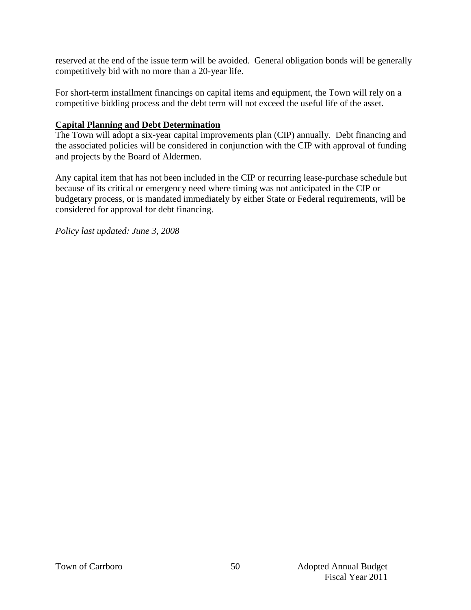reserved at the end of the issue term will be avoided. General obligation bonds will be generally competitively bid with no more than a 20-year life.

For short-term installment financings on capital items and equipment, the Town will rely on a competitive bidding process and the debt term will not exceed the useful life of the asset.

#### **Capital Planning and Debt Determination**

The Town will adopt a six-year capital improvements plan (CIP) annually. Debt financing and the associated policies will be considered in conjunction with the CIP with approval of funding and projects by the Board of Aldermen.

Any capital item that has not been included in the CIP or recurring lease-purchase schedule but because of its critical or emergency need where timing was not anticipated in the CIP or budgetary process, or is mandated immediately by either State or Federal requirements, will be considered for approval for debt financing.

*Policy last updated: June 3, 2008*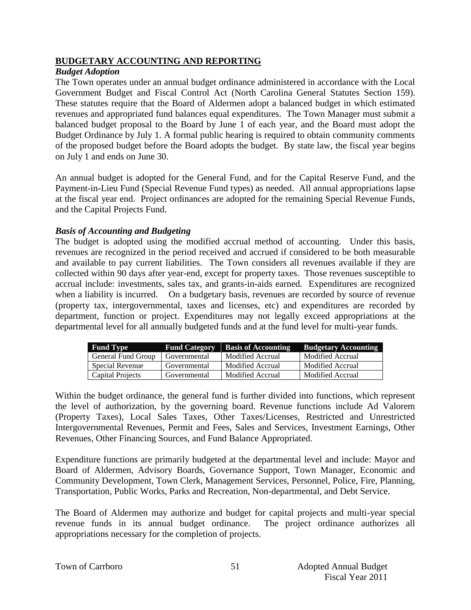#### **BUDGETARY ACCOUNTING AND REPORTING**

#### *Budget Adoption*

The Town operates under an annual budget ordinance administered in accordance with the Local Government Budget and Fiscal Control Act (North Carolina General Statutes Section 159). These statutes require that the Board of Aldermen adopt a balanced budget in which estimated revenues and appropriated fund balances equal expenditures. The Town Manager must submit a balanced budget proposal to the Board by June 1 of each year, and the Board must adopt the Budget Ordinance by July 1. A formal public hearing is required to obtain community comments of the proposed budget before the Board adopts the budget. By state law, the fiscal year begins on July 1 and ends on June 30.

An annual budget is adopted for the General Fund, and for the Capital Reserve Fund, and the Payment-in-Lieu Fund (Special Revenue Fund types) as needed. All annual appropriations lapse at the fiscal year end. Project ordinances are adopted for the remaining Special Revenue Funds, and the Capital Projects Fund.

#### *Basis of Accounting and Budgeting*

The budget is adopted using the modified accrual method of accounting. Under this basis, revenues are recognized in the period received and accrued if considered to be both measurable and available to pay current liabilities. The Town considers all revenues available if they are collected within 90 days after year-end, except for property taxes. Those revenues susceptible to accrual include: investments, sales tax, and grants-in-aids earned. Expenditures are recognized when a liability is incurred. On a budgetary basis, revenues are recorded by source of revenue (property tax, intergovernmental, taxes and licenses, etc) and expenditures are recorded by department, function or project. Expenditures may not legally exceed appropriations at the departmental level for all annually budgeted funds and at the fund level for multi-year funds.

| <b>Fund Type</b>       | <b>Fund Category</b> | <b>Basis of Accounting</b> | <b>Budgetary Accounting</b> |
|------------------------|----------------------|----------------------------|-----------------------------|
| General Fund Group     | Governmental         | Modified Accrual           | Modified Accrual            |
| <b>Special Revenue</b> | Governmental         | Modified Accrual           | Modified Accrual            |
| Capital Projects       | Governmental         | Modified Accrual           | Modified Accrual            |

Within the budget ordinance, the general fund is further divided into functions, which represent the level of authorization, by the governing board. Revenue functions include Ad Valorem (Property Taxes), Local Sales Taxes, Other Taxes/Licenses, Restricted and Unrestricted Intergovernmental Revenues, Permit and Fees, Sales and Services, Investment Earnings, Other Revenues, Other Financing Sources, and Fund Balance Appropriated.

Expenditure functions are primarily budgeted at the departmental level and include: Mayor and Board of Aldermen, Advisory Boards, Governance Support, Town Manager, Economic and Community Development, Town Clerk, Management Services, Personnel, Police, Fire, Planning, Transportation, Public Works, Parks and Recreation, Non-departmental, and Debt Service.

The Board of Aldermen may authorize and budget for capital projects and multi-year special revenue funds in its annual budget ordinance. The project ordinance authorizes all appropriations necessary for the completion of projects.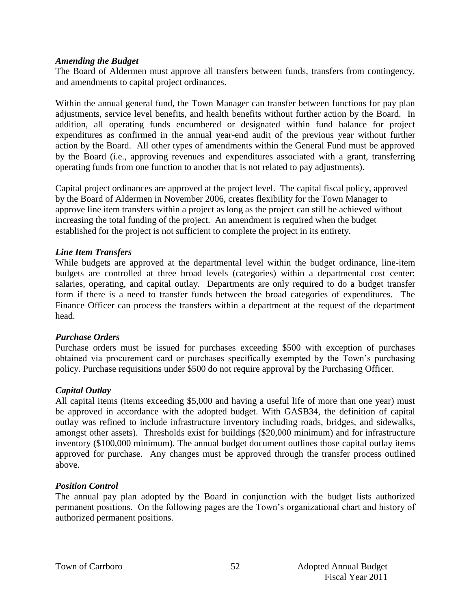#### *Amending the Budget*

The Board of Aldermen must approve all transfers between funds, transfers from contingency, and amendments to capital project ordinances.

Within the annual general fund, the Town Manager can transfer between functions for pay plan adjustments, service level benefits, and health benefits without further action by the Board. In addition, all operating funds encumbered or designated within fund balance for project expenditures as confirmed in the annual year-end audit of the previous year without further action by the Board. All other types of amendments within the General Fund must be approved by the Board (i.e., approving revenues and expenditures associated with a grant, transferring operating funds from one function to another that is not related to pay adjustments).

Capital project ordinances are approved at the project level. The capital fiscal policy, approved by the Board of Aldermen in November 2006, creates flexibility for the Town Manager to approve line item transfers within a project as long as the project can still be achieved without increasing the total funding of the project. An amendment is required when the budget established for the project is not sufficient to complete the project in its entirety.

#### *Line Item Transfers*

While budgets are approved at the departmental level within the budget ordinance, line-item budgets are controlled at three broad levels (categories) within a departmental cost center: salaries, operating, and capital outlay. Departments are only required to do a budget transfer form if there is a need to transfer funds between the broad categories of expenditures. The Finance Officer can process the transfers within a department at the request of the department head.

#### *Purchase Orders*

Purchase orders must be issued for purchases exceeding \$500 with exception of purchases obtained via procurement card or purchases specifically exempted by the Town's purchasing policy. Purchase requisitions under \$500 do not require approval by the Purchasing Officer.

#### *Capital Outlay*

All capital items (items exceeding \$5,000 and having a useful life of more than one year) must be approved in accordance with the adopted budget. With GASB34, the definition of capital outlay was refined to include infrastructure inventory including roads, bridges, and sidewalks, amongst other assets). Thresholds exist for buildings (\$20,000 minimum) and for infrastructure inventory (\$100,000 minimum). The annual budget document outlines those capital outlay items approved for purchase. Any changes must be approved through the transfer process outlined above.

#### *Position Control*

The annual pay plan adopted by the Board in conjunction with the budget lists authorized permanent positions. On the following pages are the Town's organizational chart and history of authorized permanent positions.